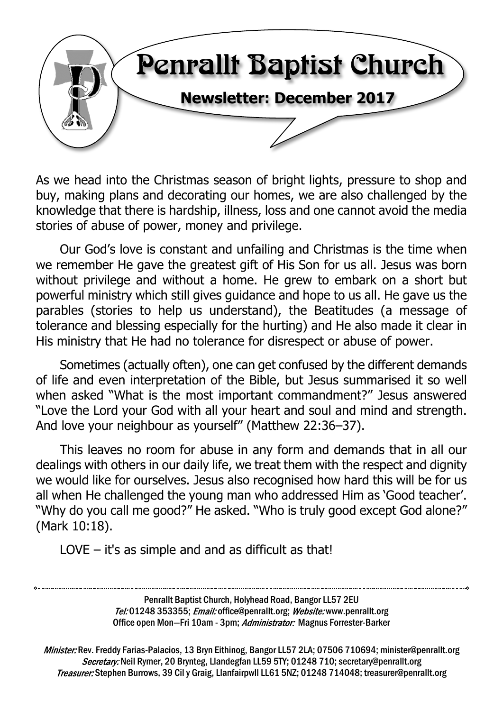

As we head into the Christmas season of bright lights, pressure to shop and buy, making plans and decorating our homes, we are also challenged by the knowledge that there is hardship, illness, loss and one cannot avoid the media stories of abuse of power, money and privilege.

Our God's love is constant and unfailing and Christmas is the time when we remember He gave the greatest gift of His Son for us all. Jesus was born without privilege and without a home. He grew to embark on a short but powerful ministry which still gives guidance and hope to us all. He gave us the parables (stories to help us understand), the Beatitudes (a message of tolerance and blessing especially for the hurting) and He also made it clear in His ministry that He had no tolerance for disrespect or abuse of power.

Sometimes (actually often), one can get confused by the different demands of life and even interpretation of the Bible, but Jesus summarised it so well when asked "What is the most important commandment?" Jesus answered "Love the Lord your God with all your heart and soul and mind and strength. And love your neighbour as yourself" (Matthew 22:36–37).

This leaves no room for abuse in any form and demands that in all our dealings with others in our daily life, we treat them with the respect and dignity we would like for ourselves. Jesus also recognised how hard this will be for us all when He challenged the young man who addressed Him as 'Good teacher'. "Why do you call me good?" He asked. "Who is truly good except God alone?" (Mark 10:18).

LOVE – it's as simple and and as difficult as that!

Penrallt Baptist Church, Holyhead Road, Bangor LL57 2EU Tel:01248 353355; Email: office@penrallt.org; Website: www.penrallt.org Office open Mon-Fri 10am - 3pm; Administrator: Magnus Forrester-Barker

Minister: Rev. Freddy Farias-Palacios, 13 Bryn Eithinog, Bangor LL57 2LA; 07506 710694; minister@penrallt.org Secretary: Neil Rymer, 20 Brynteg, Llandegfan LL59 5TY; 01248 710; secretary@penrallt.org Treasurer: Stephen Burrows, 39 Cil y Graig, Llanfairpwll LL61 5NZ; 01248 714048; treasurer@penrallt.org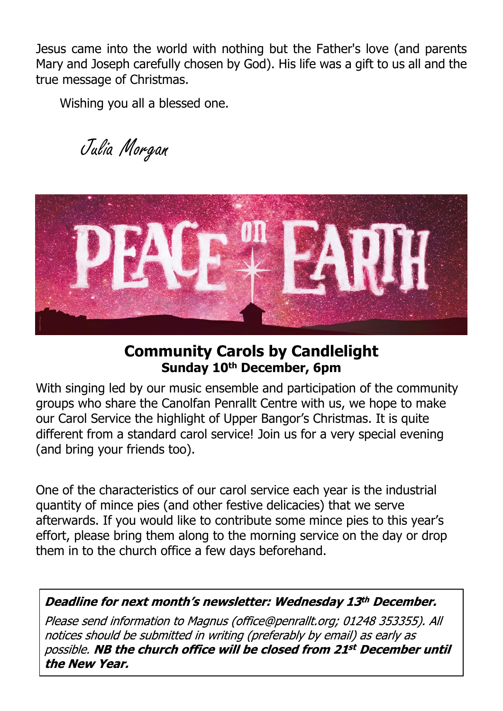Jesus came into the world with nothing but the Father's love (and parents Mary and Joseph carefully chosen by God). His life was a gift to us all and the true message of Christmas.

Wishing you all a blessed one.

Julia Morgan



# **Community Carols by Candlelight Sunday 10th December, 6pm**

With singing led by our music ensemble and participation of the community groups who share the Canolfan Penrallt Centre with us, we hope to make our Carol Service the highlight of Upper Bangor's Christmas. It is quite different from a standard carol service! Join us for a very special evening (and bring your friends too).

One of the characteristics of our carol service each year is the industrial quantity of mince pies (and other festive delicacies) that we serve afterwards. If you would like to contribute some mince pies to this year's effort, please bring them along to the morning service on the day or drop them in to the church office a few days beforehand.

Deadline for next month's newsletter: Wednesday 13th December.

Please send information to Magnus (office@penrallt.org; 01248 353355). All notices should be submitted in writing (preferably by email) as early as possible. NB the church office will be closed from 21st December until the New Year.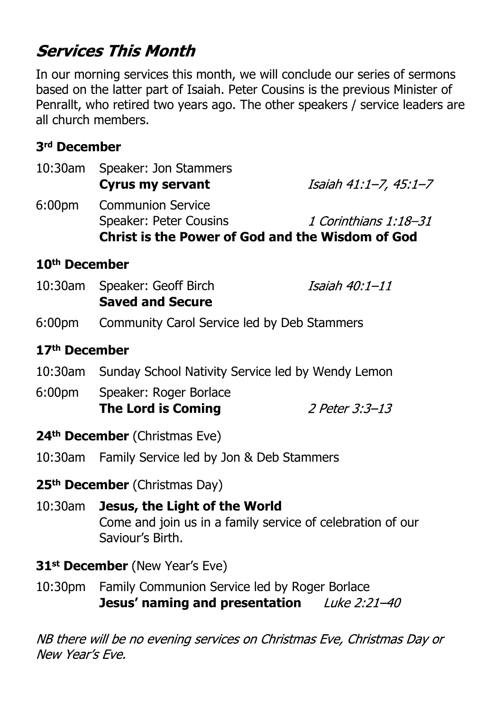# **Services This Month**

In our morning services this month, we will conclude our series of sermons based on the latter part of Isaiah. Peter Cousins is the previous Minister of Penrallt, who retired two years ago. The other speakers / service leaders are all church members.

### **3rd December**

| 10:30am                   | Speaker: Jon Stammers<br><b>Cyrus my servant</b>                                                                | Isaiah 41:1–7, 45:1–7 |  |
|---------------------------|-----------------------------------------------------------------------------------------------------------------|-----------------------|--|
| 6:00 <sub>pm</sub>        | <b>Communion Service</b><br>Speaker: Peter Cousins<br><b>Christ is the Power of God and the Wisdom of God</b>   | 1 Corinthians 1:18–31 |  |
| 10 <sup>th</sup> December |                                                                                                                 |                       |  |
|                           | 10:30am Speaker: Geoff Birch<br><b>Saved and Secure</b>                                                         | Isaiah 40:1-11        |  |
| 6:00 <sub>pm</sub>        | Community Carol Service led by Deb Stammers                                                                     |                       |  |
| 17 <sup>th</sup> December |                                                                                                                 |                       |  |
|                           | 10:30am Sunday School Nativity Service led by Wendy Lemon                                                       |                       |  |
| 6:00pm                    | Speaker: Roger Borlace<br><b>The Lord is Coming</b>                                                             | 2 Peter 3:3-13        |  |
|                           | 24 <sup>th</sup> December (Christmas Eve)                                                                       |                       |  |
|                           | 10:30am Family Service led by Jon & Deb Stammers                                                                |                       |  |
|                           | 25 <sup>th</sup> December (Christmas Day)                                                                       |                       |  |
| 10:30am                   | Jesus, the Light of the World<br>Come and join us in a family service of celebration of our<br>Saviour's Birth. |                       |  |
|                           | 31 <sup>st</sup> December (New Year's Eve)                                                                      |                       |  |

10:30pm Family Communion Service led by Roger Borlace **Jesus' naming and presentation** Luke 2:21-40

NB there will be no evening services on Christmas Eve, Christmas Day or New Year's Eve.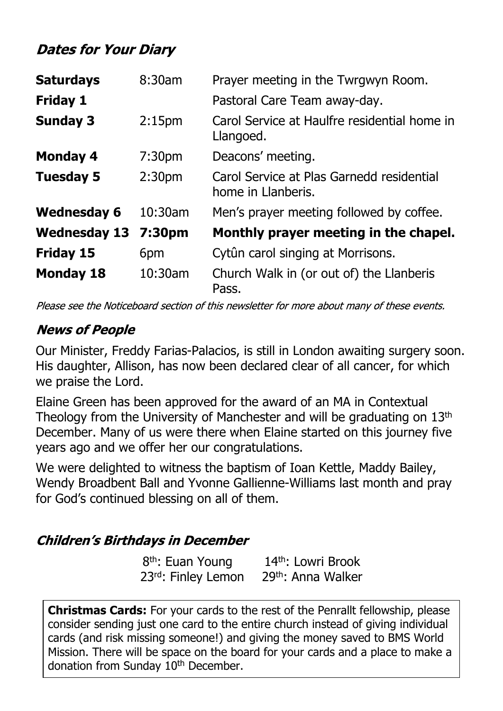# **Dates for Your Diary**

| <b>Saturdays</b>    | 8:30am             | Prayer meeting in the Twrgwyn Room.                             |
|---------------------|--------------------|-----------------------------------------------------------------|
| <b>Friday 1</b>     |                    | Pastoral Care Team away-day.                                    |
| <b>Sunday 3</b>     | 2:15 <sub>pm</sub> | Carol Service at Haulfre residential home in<br>Llangoed.       |
| <b>Monday 4</b>     | 7:30 <sub>pm</sub> | Deacons' meeting.                                               |
| <b>Tuesday 5</b>    | 2:30 <sub>pm</sub> | Carol Service at Plas Garnedd residential<br>home in Llanberis. |
| <b>Wednesday 6</b>  | $10:30$ am         | Men's prayer meeting followed by coffee.                        |
| <b>Wednesday 13</b> | 7:30pm             | Monthly prayer meeting in the chapel.                           |
| <b>Friday 15</b>    | 6pm                | Cytûn carol singing at Morrisons.                               |
| <b>Monday 18</b>    | 10:30am            | Church Walk in (or out of) the Llanberis<br>Pass.               |

Please see the Noticeboard section of this newsletter for more about many of these events.

## **News of People**

Our Minister, Freddy Farias-Palacios, is still in London awaiting surgery soon. His daughter, Allison, has now been declared clear of all cancer, for which we praise the Lord.

Elaine Green has been approved for the award of an MA in Contextual Theology from the University of Manchester and will be graduating on 13th December. Many of us were there when Elaine started on this journey five years ago and we offer her our congratulations.

We were delighted to witness the baptism of Ioan Kettle, Maddy Bailey, Wendy Broadbent Ball and Yvonne Gallienne-Williams last month and pray for God's continued blessing on all of them.

## **Children's Birthdays in December**

8<sup>th</sup>: Euan Young 14<sup>th</sup>: Lowri Brook 23<sup>rd</sup>: Finley Lemon 29<sup>th</sup>: Anna Walker

**Christmas Cards:** For your cards to the rest of the Penrallt fellowship, please consider sending just one card to the entire church instead of giving individual cards (and risk missing someone!) and giving the money saved to BMS World Mission. There will be space on the board for your cards and a place to make a donation from Sunday 10<sup>th</sup> December.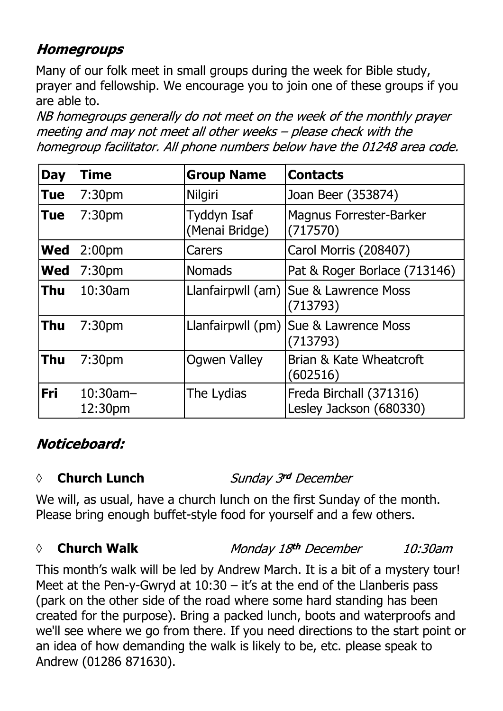# **Homegroups**

Many of our folk meet in small groups during the week for Bible study, prayer and fellowship. We encourage you to join one of these groups if you are able to.

NB homegroups generally do not meet on the week of the monthly prayer meeting and may not meet all other weeks - please check with the homegroup facilitator. All phone numbers below have the 01248 area code.

| <b>Day</b> | <b>Time</b>            | <b>Group Name</b>             | <b>Contacts</b>                                     |
|------------|------------------------|-------------------------------|-----------------------------------------------------|
| <b>Tue</b> | 7:30 <sub>pm</sub>     | <b>Nilgiri</b>                | Joan Beer (353874)                                  |
| <b>Tue</b> | 7:30 <sub>pm</sub>     | Tyddyn Isaf<br>(Menai Bridge) | <b>Magnus Forrester-Barker</b><br>(717570)          |
| <b>Wed</b> | 2:00 <sub>pm</sub>     | Carers                        | Carol Morris (208407)                               |
| <b>Wed</b> | 7:30 <sub>pm</sub>     | <b>Nomads</b>                 | Pat & Roger Borlace (713146)                        |
| <b>Thu</b> | 10:30am                |                               | Llanfairpwll (am)   Sue & Lawrence Moss<br>(713793) |
| <b>Thu</b> | 7:30pm                 |                               | Llanfairpwll (pm) Sue & Lawrence Moss<br>(713793)   |
| <b>Thu</b> | 7:30 <sub>pm</sub>     | <b>Ogwen Valley</b>           | Brian & Kate Wheatcroft<br>(602516)                 |
| <b>Fri</b> | $10:30$ am-<br>12:30pm | The Lydias                    | Freda Birchall (371316)<br>Lesley Jackson (680330)  |

# Noticeboard:

#### *◊* **Church Lunch**

Sunday 3rd December

We will, as usual, have a church lunch on the first Sunday of the month. Please bring enough buffet-style food for yourself and a few others.

#### *◊* **Church Walk**

Monday 18th December 10:30am

This month's walk will be led by Andrew March. It is a bit of a mystery tour! Meet at the Pen-y-Gwryd at 10:30 – it's at the end of the Llanberis pass (park on the other side of the road where some hard standing has been created for the purpose). Bring a packed lunch, boots and waterproofs and we'll see where we go from there. If you need directions to the start point or an idea of how demanding the walk is likely to be, etc. please speak to Andrew (01286 871630).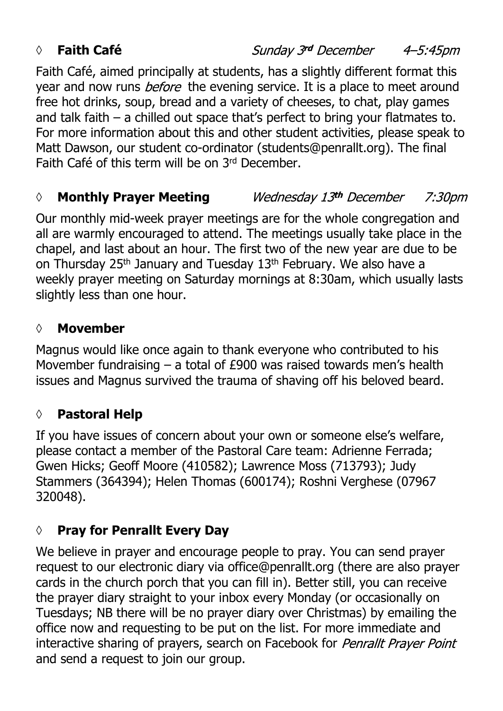## *◊* **Faith Café**

Sunday 3rd December 4–5:45pm

Faith Café, aimed principally at students, has a slightly different format this year and now runs *before* the evening service. It is a place to meet around free hot drinks, soup, bread and a variety of cheeses, to chat, play games and talk faith – a chilled out space that's perfect to bring your flatmates to. For more information about this and other student activities, please speak to Matt Dawson, our student co-ordinator (students@penrallt.org). The final Faith Café of this term will be on 3rd December.

#### *◊* **Monthly Prayer Meeting** Wednesday 13th December 7:30*pm*

Our monthly mid-week prayer meetings are for the whole congregation and all are warmly encouraged to attend. The meetings usually take place in the chapel, and last about an hour. The first two of the new year are due to be on Thursday 25<sup>th</sup> January and Tuesday 13<sup>th</sup> February. We also have a weekly prayer meeting on Saturday mornings at 8:30am, which usually lasts slightly less than one hour.

#### **◊ Movember**

Magnus would like once again to thank everyone who contributed to his Movember fundraising – a total of £900 was raised towards men's health issues and Magnus survived the trauma of shaving off his beloved beard.

## **◊ Pastoral Help**

If you have issues of concern about your own or someone else's welfare, please contact a member of the Pastoral Care team: Adrienne Ferrada; Gwen Hicks; Geoff Moore (410582); Lawrence Moss (713793); Judy Stammers (364394); Helen Thomas (600174); Roshni Verghese (07967 320048).

## **◊ Pray for Penrallt Every Day**

We believe in prayer and encourage people to pray. You can send prayer request to our electronic diary via office@penrallt.org (there are also prayer cards in the church porch that you can fill in). Better still, you can receive the prayer diary straight to your inbox every Monday (or occasionally on Tuesdays; NB there will be no prayer diary over Christmas) by emailing the office now and requesting to be put on the list. For more immediate and interactive sharing of prayers, search on Facebook for Penrallt Prayer Point and send a request to join our group.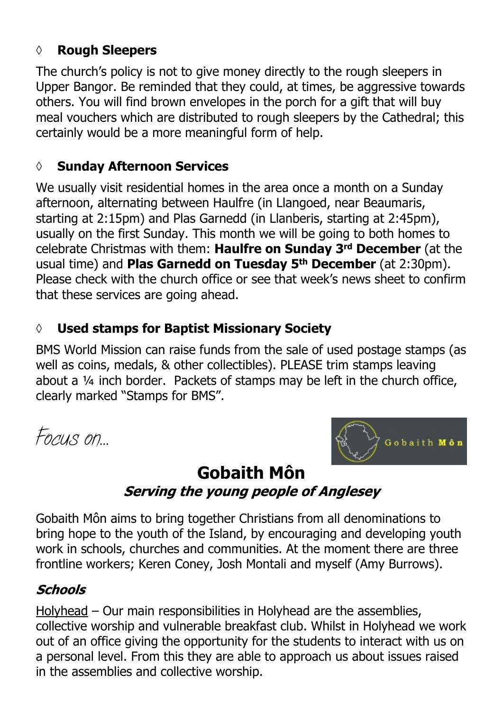## **◊ Rough Sleepers**

The church's policy is not to give money directly to the rough sleepers in Upper Bangor. Be reminded that they could, at times, be aggressive towards others. You will find brown envelopes in the porch for a gift that will buy meal vouchers which are distributed to rough sleepers by the Cathedral; this certainly would be a more meaningful form of help.

## **◊ Sunday Afternoon Services**

We usually visit residential homes in the area once a month on a Sunday afternoon, alternating between Haulfre (in Llangoed, near Beaumaris, starting at 2:15pm) and Plas Garnedd (in Llanberis, starting at 2:45pm), usually on the first Sunday. This month we will be going to both homes to celebrate Christmas with them: **Haulfre on Sunday 3rd December** (at the usual time) and **Plas Garnedd on Tuesday 5th December** (at 2:30pm). Please check with the church office or see that week's news sheet to confirm that these services are going ahead.

# **◊ Used stamps for Baptist Missionary Society**

BMS World Mission can raise funds from the sale of used postage stamps (as well as coins, medals, & other collectibles). PLEASE trim stamps leaving about a ¼ inch border. Packets of stamps may be left in the church office, clearly marked "Stamps for BMS".

*Focus on…*



# **Gobaith Môn**Serving the young people of Anglesey

Gobaith Môn aims to bring together Christians from all denominations to bring hope to the youth of the Island, by encouraging and developing youth work in schools, churches and communities. At the moment there are three frontline workers; Keren Coney, Josh Montali and myself (Amy Burrows).

# **Schools**

Holyhead – Our main responsibilities in Holyhead are the assemblies, collective worship and vulnerable breakfast club. Whilst in Holyhead we work out of an office giving the opportunity for the students to interact with us on a personal level. From this they are able to approach us about issues raised in the assemblies and collective worship.